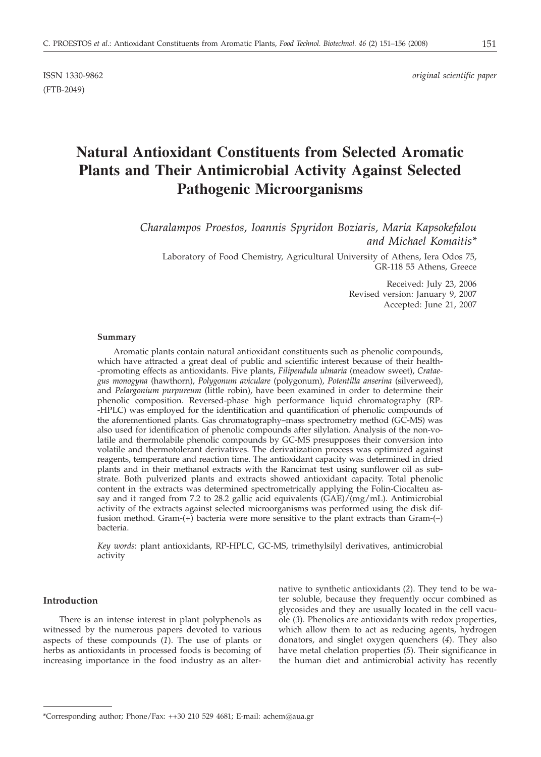(FTB-2049)

ISSN 1330-9862 *original scientific paper*

# **Natural Antioxidant Constituents from Selected Aromatic Plants and Their Antimicrobial Activity Against Selected Pathogenic Microorganisms**

*Charalampos Proestos, Ioannis Spyridon Boziaris, Maria Kapsokefalou and Michael Komaitis\**

Laboratory of Food Chemistry, Agricultural University of Athens, Iera Odos 75, GR-118 55 Athens, Greece

> Received: July 23, 2006 Revised version: January 9, 2007 Accepted: June 21, 2007

## **Summary**

Aromatic plants contain natural antioxidant constituents such as phenolic compounds, which have attracted a great deal of public and scientific interest because of their health- -promoting effects as antioxidants. Five plants, *Filipendula ulmaria* (meadow sweet), *Crataegus monogyna* (hawthorn), *Polygonum aviculare* (polygonum), *Potentilla anserina* (silverweed), and *Pelargonium purpureum* (little robin), have been examined in order to determine their phenolic composition. Reversed-phase high performance liquid chromatography (RP- -HPLC) was employed for the identification and quantification of phenolic compounds of the aforementioned plants. Gas chromatography–mass spectrometry method (GC-MS) was also used for identification of phenolic compounds after silylation. Analysis of the non-volatile and thermolabile phenolic compounds by GC-MS presupposes their conversion into volatile and thermotolerant derivatives. The derivatization process was optimized against reagents, temperature and reaction time. The antioxidant capacity was determined in dried plants and in their methanol extracts with the Rancimat test using sunflower oil as substrate. Both pulverized plants and extracts showed antioxidant capacity. Total phenolic content in the extracts was determined spectrometrically applying the Folin-Ciocalteu assay and it ranged from 7.2 to 28.2 gallic acid equivalents (GAE)/(mg/mL). Antimicrobial activity of the extracts against selected microorganisms was performed using the disk diffusion method. Gram-(+) bacteria were more sensitive to the plant extracts than Gram-(–) bacteria.

*Key words*: plant antioxidants, RP-HPLC, GC-MS, trimethylsilyl derivatives, antimicrobial activity

# **Introduction**

There is an intense interest in plant polyphenols as witnessed by the numerous papers devoted to various aspects of these compounds (*1*). The use of plants or herbs as antioxidants in processed foods is becoming of increasing importance in the food industry as an alternative to synthetic antioxidants (*2*). They tend to be water soluble, because they frequently occur combined as glycosides and they are usually located in the cell vacuole (*3*). Phenolics are antioxidants with redox properties, which allow them to act as reducing agents, hydrogen donators, and singlet oxygen quenchers (*4*). They also have metal chelation properties (*5*). Their significance in the human diet and antimicrobial activity has recently

<sup>\*</sup>Corresponding author; Phone/Fax: ++30 210 529 4681; E*-*mail: achem@aua.gr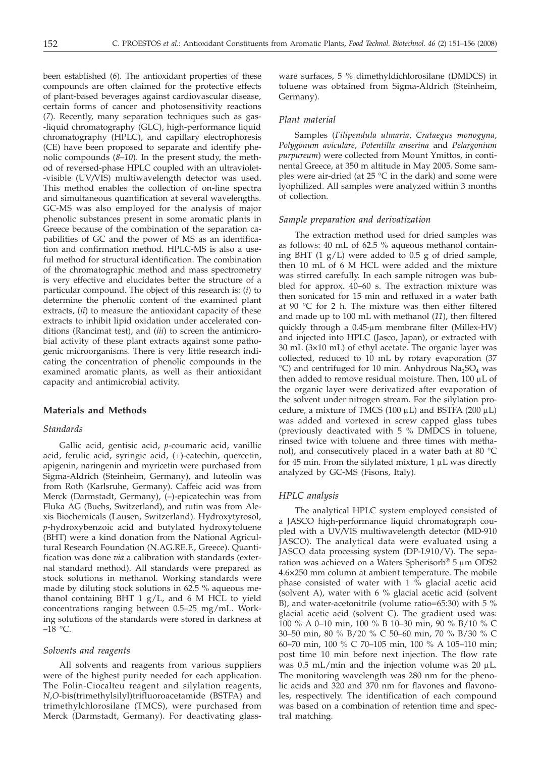been established (*6*). The antioxidant properties of these compounds are often claimed for the protective effects of plant-based beverages against cardiovascular disease, certain forms of cancer and photosensitivity reactions (*7*). Recently, many separation techniques such as gas- -liquid chromatography (GLC), high-performance liquid chromatography (HPLC), and capillary electrophoresis (CE) have been proposed to separate and identify phenolic compounds (*8*–*10*). In the present study, the method of reversed-phase HPLC coupled with an ultraviolet- -visible (UV*/*VIS) multiwavelength detector was used. This method enables the collection of on-line spectra and simultaneous quantification at several wavelengths. GC-MS was also employed for the analysis of major phenolic substances present in some aromatic plants in Greece because of the combination of the separation capabilities of GC and the power of MS as an identification and confirmation method. HPLC-MS is also a useful method for structural identification. The combination of the chromatographic method and mass spectrometry is very effective and elucidates better the structure of a particular compound. The object of this research is: (*i*) to determine the phenolic content of the examined plant extracts, (*ii*) to measure the antioxidant capacity of these extracts to inhibit lipid oxidation under accelerated conditions (Rancimat test), and (*iii*) to screen the antimicrobial activity of these plant extracts against some pathogenic microorganisms. There is very little research indicating the concentration of phenolic compounds in the examined aromatic plants, as well as their antioxidant capacity and antimicrobial activity.

## **Materials and Methods**

# *Standards*

Gallic acid, gentisic acid, *p*-coumaric acid, vanillic acid, ferulic acid, syringic acid, (+)-catechin, quercetin, apigenin, naringenin and myricetin were purchased from Sigma-Aldrich (Steinheim, Germany), and luteolin was from Roth (Karlsruhe, Germany). Caffeic acid was from Merck (Darmstadt, Germany), (–)-epicatechin was from Fluka AG (Buchs, Switzerland), and rutin was from Alexis Biochemicals (Lausen, Switzerland). Hydroxytyrosol, *p*-hydroxybenzoic acid and butylated hydroxytoluene (BHT) were a kind donation from the National Agricultural Research Foundation (N.AG.RE.F., Greece). Quantification was done *via* a calibration with standards (external standard method). All standards were prepared as stock solutions in methanol. Working standards were made by diluting stock solutions in 62.5 % aqueous methanol containing BHT 1 g/L, and 6 M HCL to yield concentrations ranging between 0.5–25 mg/mL. Working solutions of the standards were stored in darkness at  $-18$  °C.

#### *Solvents and reagents*

All solvents and reagents from various suppliers were of the highest purity needed for each application. The Folin-Ciocalteu reagent and silylation reagents, *N*,*O*-bis(trimethylsilyl)trifluoroacetamide (BSTFA) and trimethylchlorosilane (TMCS), were purchased from Merck (Darmstadt, Germany). For deactivating glass-

ware surfaces, 5 % dimethyldichlorosilane (DMDCS) in toluene was obtained from Sigma-Aldrich (Steinheim, Germany).

## *Plant material*

Samples (*Filipendula ulmaria*, *Crataegus monogyna*, *Polygonum aviculare*, *Potentilla anserina* and *Pelargonium purpureum*) were collected from Mount Ymittos, in continental Greece, at 350 m altitude in May 2005. Some samples were air-dried (at  $25 \text{ °C}$  in the dark) and some were lyophilized. All samples were analyzed within 3 months of collection.

## *Sample preparation and derivatization*

The extraction method used for dried samples was as follows: 40 mL of 62.5 % aqueous methanol containing BHT (1 g/L) were added to 0.5 g of dried sample, then 10 mL of 6 M HCL were added and the mixture was stirred carefully. In each sample nitrogen was bubbled for approx. 40–60 s. The extraction mixture was then sonicated for 15 min and refluxed in a water bath at 90 $\degree$ C for 2 h. The mixture was then either filtered and made up to 100 mL with methanol (*11*), then filtered quickly through a 0.45-µm membrane filter (Millex-HV) and injected into HPLC (Jasco, Japan), or extracted with  $30 \text{ mL}$  ( $3 \times 10 \text{ mL}$ ) of ethyl acetate. The organic layer was collected, reduced to 10 mL by rotary evaporation (37  $^{\circ}$ C) and centrifuged for 10 min. Anhydrous Na<sub>2</sub>SO<sub>4</sub> was then added to remove residual moisture. Then,  $100 \mu L$  of the organic layer were derivatized after evaporation of the solvent under nitrogen stream. For the silylation procedure, a mixture of TMCS (100  $\mu$ L) and BSTFA (200  $\mu$ L) was added and vortexed in screw capped glass tubes (previously deactivated with 5 % DMDCS in toluene, rinsed twice with toluene and three times with methanol), and consecutively placed in a water bath at 80  $^{\circ}$ C for 45 min. From the silylated mixture,  $1 \mu$ L was directly analyzed by GC-MS (Fisons, Italy).

## *HPLC analysis*

The analytical HPLC system employed consisted of a JASCO high-performance liquid chromatograph coupled with a UV*/*VIS multiwavelength detector (MD-910 JASCO). The analytical data were evaluated using a JASCO data processing system (DP-L910/V). The separation was achieved on a Waters Spherisorb® 5  $\mu$ m ODS2 4.6×250 mm column at ambient temperature. The mobile phase consisted of water with 1 % glacial acetic acid (solvent A), water with  $6\%$  glacial acetic acid (solvent B), and water-acetonitrile (volume ratio=65:30) with 5 % glacial acetic acid (solvent C). The gradient used was: 100 % A 0–10 min, 100 % B 10–30 min, 90 % B/10 % C 30–50 min, 80 % B/20 % C 50–60 min, 70 % B/30 % C 60–70 min, 100 % C 70–105 min, 100 % A 105–110 min; post time 10 min before next injection. The flow rate was  $0.5$  mL/min and the injection volume was  $20 \mu L$ . The monitoring wavelength was 280 nm for the phenolic acids and 320 and 370 nm for flavones and flavonoles, respectively. The identification of each compound was based on a combination of retention time and spectral matching.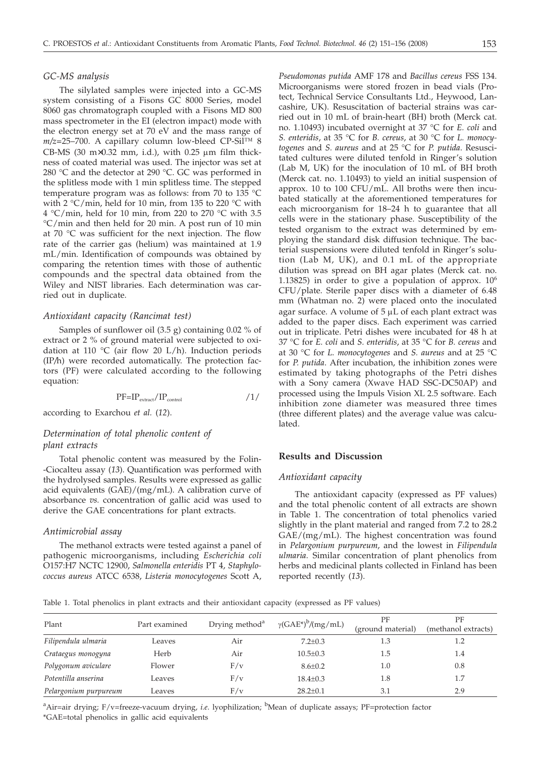## *GC-MS analysis*

The silylated samples were injected into a GC-MS system consisting of a Fisons GC 8000 Series, model 8060 gas chromatograph coupled with a Fisons MD 800 mass spectrometer in the EI (electron impact) mode with the electron energy set at 70 eV and the mass range of *m/z=*25–700. A capillary column low-bleed CP-Sil™ 8 CB-MS (30 m $\times$ 0.32 mm, i.d.), with 0.25  $\mu$ m film thickness of coated material was used. The injector was set at 280 °C and the detector at 290 °C. GC was performed in the splitless mode with 1 min splitless time. The stepped temperature program was as follows: from 70 to 135 °C with 2 °C/min, held for 10 min, from 135 to 220 °C with 4 °C/min, held for 10 min, from 220 to 270 °C with 3.5 °C/min and then held for 20 min. A post run of 10 min at 70 °C was sufficient for the next injection. The flow rate of the carrier gas (helium) was maintained at 1.9 mL/min. Identification of compounds was obtained by comparing the retention times with those of authentic compounds and the spectral data obtained from the Wiley and NIST libraries. Each determination was carried out in duplicate.

# *Antioxidant capacity (Rancimat test)*

Samples of sunflower oil (3.5 g) containing 0.02 % of extract or 2 % of ground material were subjected to oxidation at 110 °C (air flow 20 L/h). Induction periods (IP*/*h) were recorded automatically. The protection factors (PF) were calculated according to the following equation:

$$
PF=IP_{\text{extract}}/IP_{\text{control}} \qquad \qquad /1/
$$

according to Exarchou *et al.* (*12*).

# *Determination of total phenolic content of plant extracts*

Total phenolic content was measured by the Folin- -Ciocalteu assay (*13*). Quantification was performed with the hydrolysed samples. Results were expressed as gallic acid equivalents (GAE)/(mg/mL). A calibration curve of absorbance *vs.* concentration of gallic acid was used to derive the GAE concentrations for plant extracts.

## *Antimicrobial assay*

The methanol extracts were tested against a panel of pathogenic microorganisms, including *Escherichia coli* O157:H7 NCTC 12900, *Salmonella enteridis* PT 4, *Staphylococcus aureus* ATCC 6538, *Listeria monocytogenes* Scott A,

*Pseudomonas putida* AMF 178 and *Bacillus cereus* FSS 134. Microorganisms were stored frozen in bead vials (Protect, Technical Service Consultants Ltd., Heywood, Lancashire, UK). Resuscitation of bacterial strains was carried out in 10 mL of brain-heart (BH) broth (Merck cat. no. 1.10493) incubated overnight at 37 °C for *E. coli* and *S. enteridis*, at 35 °C for *B. cereus*, at 30 °C for *L. monocytogenes* and *S. aureus* and at 25 °C for *P. putida*. Resuscitated cultures were diluted tenfold in Ringer's solution (Lab M, UK) for the inoculation of 10 mL of BH broth (Merck cat. no. 1.10493) to yield an initial suspension of approx. 10 to 100 CFU/mL. All broths were then incubated statically at the aforementioned temperatures for each microorganism for 18–24 h to guarantee that all cells were in the stationary phase. Susceptibility of the tested organism to the extract was determined by employing the standard disk diffusion technique. The bacterial suspensions were diluted tenfold in Ringer's solution (Lab M, UK), and 0.1 mL of the appropriate dilution was spread on BH agar plates (Merck cat. no. 1.13825) in order to give a population of approx.  $10<sup>6</sup>$ CFU/plate. Sterile paper discs with a diameter of 6.48 mm (Whatman no. 2) were placed onto the inoculated agar surface. A volume of  $5 \mu L$  of each plant extract was added to the paper discs. Each experiment was carried out in triplicate. Petri dishes were incubated for 48 h at 37 °C for *E. coli* and *S. enteridis*, at 35 °C for *B. cereus* and at 30 °C for *L. monocytogenes* and *S. aureus* and at 25 °C for *P. putida*. After incubation, the inhibition zones were estimated by taking photographs of the Petri dishes with a Sony camera (Xwave HAD SSC-DC50AP) and processed using the Impuls Vision XL 2.5 software. Each inhibition zone diameter was measured three times (three different plates) and the average value was calculated.

# **Results and Discussion**

# *Antioxidant capacity*

The antioxidant capacity (expressed as PF values) and the total phenolic content of all extracts are shown in Table 1. The concentration of total phenolics varied slightly in the plant material and ranged from 7.2 to 28.2 GAE/(mg/mL). The highest concentration was found in *Pelargonium purpureum*, and the lowest in *Filipendula ulmaria*. Similar concentration of plant phenolics from herbs and medicinal plants collected in Finland has been reported recently (*13*).

Table 1. Total phenolics in plant extracts and their antioxidant capacity (expressed as PF values)

| Plant                 | Part examined | Drying method <sup>a</sup> | $\gamma(GAE^*)^b/(mg/mL)$ | PF<br>(ground material) | PF<br>(methanol extracts) |
|-----------------------|---------------|----------------------------|---------------------------|-------------------------|---------------------------|
| Filipendula ulmaria   | Leaves        | Air                        | $7.2 \pm 0.3$             | 1.3                     |                           |
| Crataegus monogyna    | Herb          | Air                        | $10.5 \pm 0.3$            | 1.5                     | 1.4                       |
| Polygonum aviculare   | Flower        | F/v                        | $8.6 \pm 0.2$             | 1.0                     | 0.8                       |
| Potentilla anserina   | Leaves        | F/v                        | $18.4 \pm 0.3$            | 1.8                     | 1.7                       |
| Pelargonium purpureum | Leaves        | F/v                        | $28.2 \pm 0.1$            | 3.1                     | 2.9                       |

<sup>a</sup>Air=air drying; F/v=freeze-vacuum drying, *i.e*. lyophilization; <sup>b</sup>Mean of duplicate assays; PF=protection factor \*GAE=total phenolics in gallic acid equivalents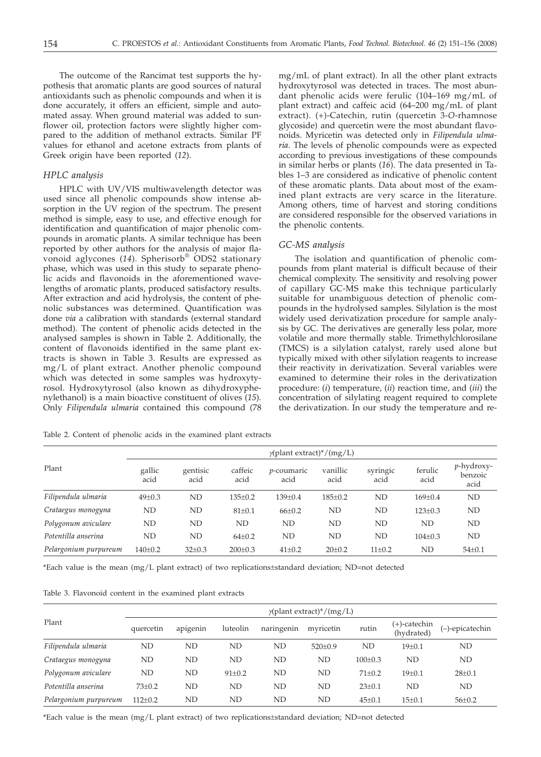The outcome of the Rancimat test supports the hypothesis that aromatic plants are good sources of natural antioxidants such as phenolic compounds and when it is done accurately, it offers an efficient, simple and automated assay. When ground material was added to sunflower oil, protection factors were slightly higher compared to the addition of methanol extracts. Similar PF values for ethanol and acetone extracts from plants of Greek origin have been reported (*12*).

## *HPLC analysis*

HPLC with UV/VIS multiwavelength detector was used since all phenolic compounds show intense absorption in the UV region of the spectrum. The present method is simple, easy to use, and effective enough for identification and quantification of major phenolic compounds in aromatic plants. A similar technique has been reported by other authors for the analysis of major flavonoid aglycones (*14*). Spherisorb® ODS2 stationary phase, which was used in this study to separate phenolic acids and flavonoids in the aforementioned wavelengths of aromatic plants, produced satisfactory results. After extraction and acid hydrolysis, the content of phenolic substances was determined. Quantification was done *via* a calibration with standards (external standard method). The content of phenolic acids detected in the analysed samples is shown in Table 2. Additionally, the content of flavonoids identified in the same plant extracts is shown in Table 3. Results are expressed as mg/L of plant extract. Another phenolic compound which was detected in some samples was hydroxytyrosol. Hydroxytyrosol (also known as dihydroxyphenylethanol) is a main bioactive constituent of olives (*15*). Only *Filipendula ulmaria* contained this compound (78

mg/mL of plant extract). In all the other plant extracts hydroxytyrosol was detected in traces. The most abundant phenolic acids were ferulic (104–169 mg/mL of plant extract) and caffeic acid (64–200 mg/mL of plant extract). (+)-Catechin, rutin (quercetin 3-*O*-rhamnose glycoside) and quercetin were the most abundant flavonoids. Myricetin was detected only in *Filipendula ulmaria*. The levels of phenolic compounds were as expected according to previous investigations of these compounds in similar herbs or plants (*16*). The data presented in Tables 1–3 are considered as indicative of phenolic content of these aromatic plants. Data about most of the examined plant extracts are very scarce in the literature. Among others, time of harvest and storing conditions are considered responsible for the observed variations in the phenolic contents.

# *GC-MS analysis*

The isolation and quantification of phenolic compounds from plant material is difficult because of their chemical complexity. The sensitivity and resolving power of capillary GC-MS make this technique particularly suitable for unambiguous detection of phenolic compounds in the hydrolysed samples. Silylation is the most widely used derivatization procedure for sample analysis by GC. The derivatives are generally less polar, more volatile and more thermally stable. Trimethylchlorosilane (TMCS) is a silylation catalyst, rarely used alone but typically mixed with other silylation reagents to increase their reactivity in derivatization. Several variables were examined to determine their roles in the derivatization procedure: (*i*) temperature, (*ii*) reaction time, and (*iii*) the concentration of silylating reagent required to complete the derivatization. In our study the temperature and re-

Table 2. Content of phenolic acids in the examined plant extracts

|                       | $\gamma$ (plant extract)*/(mg/L) |                  |                 |                            |                  |                  |                 |                                       |  |
|-----------------------|----------------------------------|------------------|-----------------|----------------------------|------------------|------------------|-----------------|---------------------------------------|--|
| Plant                 | gallic<br>acid                   | gentisic<br>acid | caffeic<br>acid | <i>p</i> -coumaric<br>acid | vanillic<br>acid | syringic<br>acid | ferulic<br>acid | <i>p</i> -hydroxy-<br>benzoic<br>acid |  |
| Filipendula ulmaria   | $49 \pm 0.3$                     | ND               | $135 \pm 0.2$   | $139 \pm 0.4$              | $185 \pm 0.2$    | ND               | $169 \pm 0.4$   | ND                                    |  |
| Crataegus monogyna    | ND                               | ND               | $81 \pm 0.1$    | $66{\pm}0.2$               | ND               | ND               | $123 \pm 0.3$   | ND                                    |  |
| Polygonum aviculare   | ND                               | ND               | ND              | ND                         | ND               | ND               | ND              | ND                                    |  |
| Potentilla anserina   | ND                               | ND               | $64\pm0.2$      | ND                         | ND               | ND               | $104 \pm 0.3$   | ND                                    |  |
| Pelargonium purpureum | $140 \pm 0.2$                    | $32 \pm 0.3$     | $200 \pm 0.3$   | $41 \pm 0.2$               | $20 \pm 0.2$     | $11 \pm 0.2$     | ND              | $54 \pm 0.1$                          |  |

\*Each value is the mean (mg/L plant extract) of two replications±standard deviation; ND=not detected

Table 3. Flavonoid content in the examined plant extracts

|                       | $\gamma$ (plant extract)*/(mg/L) |          |              |            |               |               |                               |                 |  |
|-----------------------|----------------------------------|----------|--------------|------------|---------------|---------------|-------------------------------|-----------------|--|
| Plant                 | quercetin                        | apigenin | luteolin     | naringenin | myricetin     | rutin         | $(+)$ -catechin<br>(hydrated) | (-)-epicatechin |  |
| Filipendula ulmaria   | ND                               | ND       | ND           | ND         | $520 \pm 0.9$ | ND            | $19 + 0.1$                    | ND              |  |
| Crataegus monogyna    | ND                               | ND       | ND           | ND         | ND            | $100 \pm 0.3$ | <b>ND</b>                     | ND              |  |
| Polygonum aviculare   | <b>ND</b>                        | ND       | $91 \pm 0.2$ | ND         | ND            | $71 \pm 0.2$  | $19 + 0.1$                    | $28 \pm 0.1$    |  |
| Potentilla anserina   | $73 \pm 0.2$                     | ND       | ND           | ND         | ND            | $23 \pm 0.1$  | ND                            | ND              |  |
| Pelargonium purpureum | $112 \pm 0.2$                    | ND       | ND           | ND         | ND            | $45 \pm 0.1$  | $15 \pm 0.1$                  | $56 \pm 0.2$    |  |

\*Each value is the mean (mg/L plant extract) of two replications±standard deviation; ND=not detected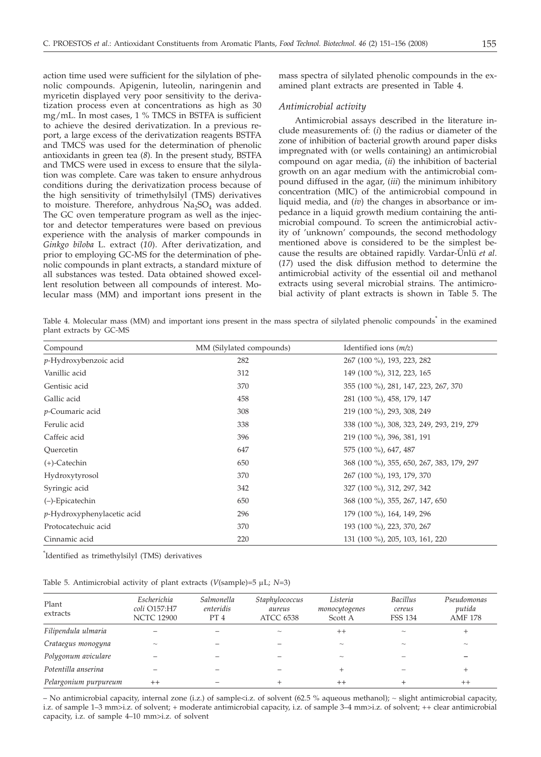action time used were sufficient for the silylation of phenolic compounds. Apigenin, luteolin, naringenin and myricetin displayed very poor sensitivity to the derivatization process even at concentrations as high as 30 mg/mL. In most cases, 1 % TMCS in BSTFA is sufficient to achieve the desired derivatization. In a previous report, a large excess of the derivatization reagents BSTFA and TMCS was used for the determination of phenolic antioxidants in green tea (*8*). In the present study, BSTFA and TMCS were used in excess to ensure that the silylation was complete. Care was taken to ensure anhydrous conditions during the derivatization process because of the high sensitivity of trimethylsilyl (TMS) derivatives to moisture. Therefore, anhydrous  $Na<sub>2</sub>SO<sub>4</sub>$  was added. The GC oven temperature program as well as the injector and detector temperatures were based on previous experience with the analysis of marker compounds in *Ginkgo biloba* L. extract (*10*). After derivatization, and prior to employing GC-MS for the determination of phenolic compounds in plant extracts, a standard mixture of all substances was tested. Data obtained showed excellent resolution between all compounds of interest. Molecular mass (MM) and important ions present in the mass spectra of silylated phenolic compounds in the examined plant extracts are presented in Table 4.

## *Antimicrobial activity*

Antimicrobial assays described in the literature include measurements of: (*i*) the radius or diameter of the zone of inhibition of bacterial growth around paper disks impregnated with (or wells containing) an antimicrobial compound on agar media, (*ii*) the inhibition of bacterial growth on an agar medium with the antimicrobial compound diffused in the agar, (*iii*) the minimum inhibitory concentration (MIC) of the antimicrobial compound in liquid media, and (*iv*) the changes in absorbance or impedance in a liquid growth medium containing the antimicrobial compound. To screen the antimicrobial activity of 'unknown' compounds, the second methodology mentioned above is considered to be the simplest because the results are obtained rapidly. Vardar-Ünlü *et al*. (*17*) used the disk diffusion method to determine the antimicrobial activity of the essential oil and methanol extracts using several microbial strains. The antimicrobial activity of plant extracts is shown in Table 5. The

Table 4. Molecular mass (MM) and important ions present in the mass spectra of silylated phenolic compounds<sup>\*</sup> in the examined plant extracts by GC-MS

| Compound                           | MM (Silylated compounds) | Identified ions $(m/z)$                   |
|------------------------------------|--------------------------|-------------------------------------------|
| p-Hydroxybenzoic acid              | 282                      | 267 (100 %), 193, 223, 282                |
| Vanillic acid                      | 312                      | 149 (100 %), 312, 223, 165                |
| Gentisic acid                      | 370                      | 355 (100 %), 281, 147, 223, 267, 370      |
| Gallic acid                        | 458                      | 281 (100 %), 458, 179, 147                |
| <i>p</i> -Coumaric acid            | 308                      | 219 (100 %), 293, 308, 249                |
| Ferulic acid                       | 338                      | 338 (100 %), 308, 323, 249, 293, 219, 279 |
| Caffeic acid                       | 396                      | 219 (100 %), 396, 381, 191                |
| Ouercetin                          | 647                      | 575 (100 %), 647, 487                     |
| $(+)$ -Catechin                    | 650                      | 368 (100 %), 355, 650, 267, 383, 179, 297 |
| Hydroxytyrosol                     | 370                      | 267 (100 %), 193, 179, 370                |
| Syringic acid                      | 342                      | 327 (100 %), 312, 297, 342                |
| $(-)$ -Epicatechin                 | 650                      | 368 (100 %), 355, 267, 147, 650           |
| <i>p</i> -Hydroxyphenylacetic acid | 296                      | 179 (100 %), 164, 149, 296                |
| Protocatechuic acid                | 370                      | 193 (100 %), 223, 370, 267                |
| Cinnamic acid                      | 220                      | 131 (100 %), 205, 103, 161, 220           |

\* Identified as trimethylsilyl (TMS) derivatives

| Table 5. Antimicrobial activity of plant extracts ( $V$ (sample)=5 $\mu$ L; N=3) |  |  |  |
|----------------------------------------------------------------------------------|--|--|--|
|                                                                                  |  |  |  |

| Plant<br>extracts     | Escherichia<br>coli O157:H7<br><b>NCTC 12900</b> | Salmonella<br>enteridis<br>PT 4 | Staphylococcus<br>aureus<br><b>ATCC 6538</b> | Listeria<br>monocytogenes<br>Scott A | <b>Bacillus</b><br>cereus<br>FSS 134 | Pseudomonas<br>putida<br><b>AMF 178</b> |
|-----------------------|--------------------------------------------------|---------------------------------|----------------------------------------------|--------------------------------------|--------------------------------------|-----------------------------------------|
| Filipendula ulmaria   |                                                  |                                 |                                              | $^{++}$                              | $\sim$                               |                                         |
| Crataegus monogyna    | $\tilde{}$                                       |                                 |                                              | $\widetilde{\phantom{m}}$            | $\tilde{}$                           | $\sim$                                  |
| Polygonum aviculare   |                                                  |                                 |                                              | $\widetilde{\phantom{m}}$            |                                      |                                         |
| Potentilla anserina   |                                                  |                                 |                                              |                                      |                                      |                                         |
| Pelargonium purpureum | $^{++}$                                          |                                 |                                              | $^{++}$                              |                                      | $^{++}$                                 |

– No antimicrobial capacity, internal zone (i.z.) of sample<i.z. of solvent (62.5 % aqueous methanol); ~ slight antimicrobial capacity, i.z. of sample 1–3 mm>i.z. of solvent; + moderate antimicrobial capacity, i.z. of sample 3–4 mm>i.z. of solvent; ++ clear antimicrobial capacity, i.z. of sample 4–10 mm>i.z. of solvent